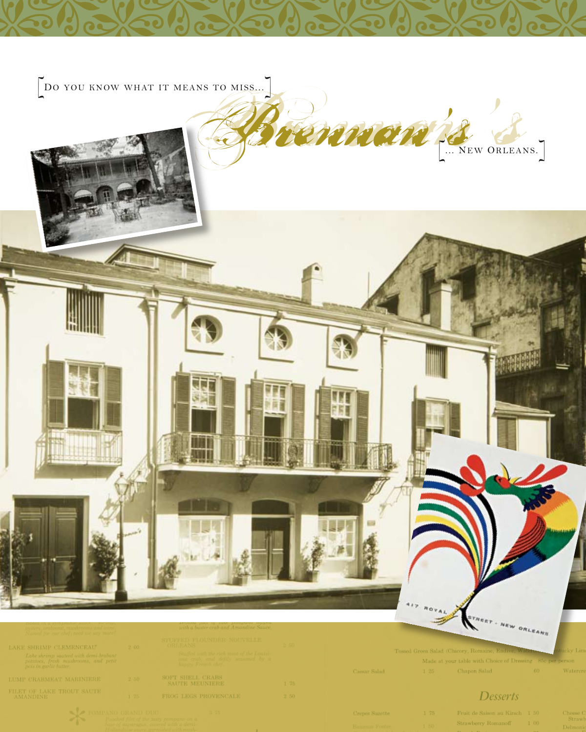